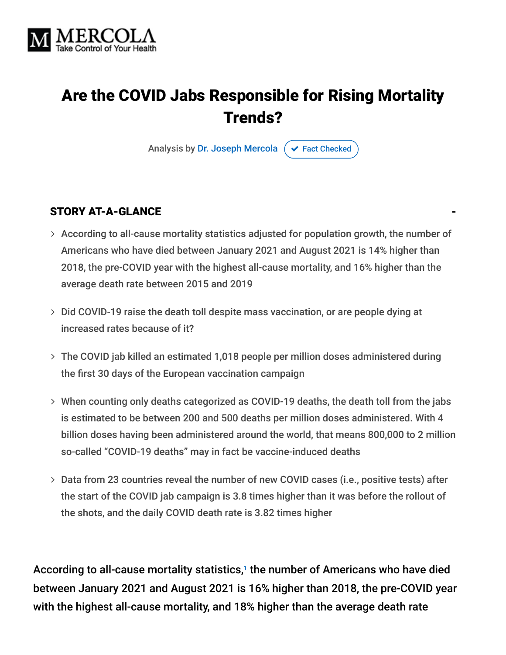

## Are the COVID Jabs Responsible for Rising Mortality Trends?

Analysis by [Dr. Joseph Mercola](https://www.mercola.com/forms/background.htm)  $\sigma$  [Fact Checked](javascript:void(0))

#### STORY AT-A-GLANCE

- According to all-cause mortality statistics adjusted for population growth, the number of Americans who have died between January 2021 and August 2021 is 14% higher than 2018, the pre-COVID year with the highest all-cause mortality, and 16% higher than the average death rate between 2015 and 2019
- > Did COVID-19 raise the death toll despite mass vaccination, or are people dying at increased rates because of it?
- The COVID jab killed an estimated 1,018 people per million doses administered during the first 30 days of the European vaccination campaign
- When counting only deaths categorized as COVID-19 deaths, the death toll from the jabs is estimated to be between 200 and 500 deaths per million doses administered. With 4 billion doses having been administered around the world, that means 800,000 to 2 million so-called "COVID-19 deaths" may in fact be vaccine-induced deaths
- Data from 23 countries reveal the number of new COVID cases (i.e., positive tests) after the start of the COVID jab campaign is 3.8 times higher than it was before the rollout of the shots, and the daily COVID death rate is 3.82 times higher

According to all-cause mortality statistics,<sup>1</sup> the number of Americans who have died between January 2021 and August 2021 is 16% higher than 2018, the pre-COVID year with the highest all-cause mortality, and 18% higher than the average death rate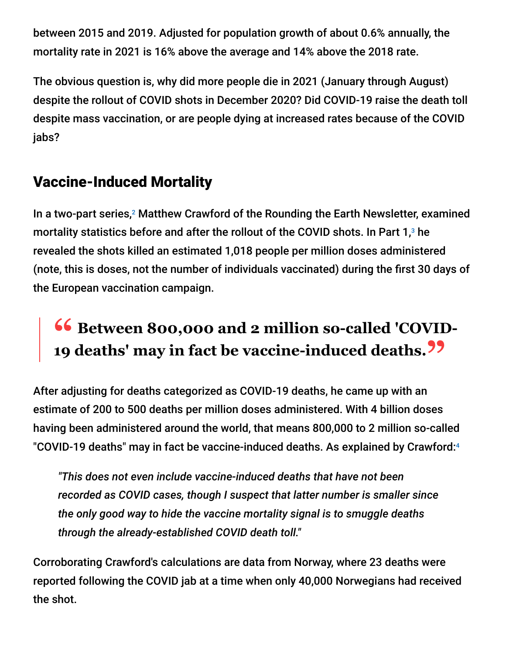between 2015 and 2019. Adjusted for population growth of about 0.6% annually, the mortality rate in 2021 is 16% above the average and 14% above the 2018 rate.

The obvious question is, why did more people die in 2021 (January through August) despite the rollout of COVID shots in December 2020? Did COVID-19 raise the death toll despite mass vaccination, or are people dying at increased rates because of the COVID jabs?

#### Vaccine-Induced Mortality

In a two-part series,<sup>2</sup> Matthew Crawford of the Rounding the Earth Newsletter, examined mortality statistics before and after the rollout of the COVID shots. In Part  $1,3$  he revealed the shots killed an estimated 1,018 people per million doses administered (note, this is doses, not the number of individuals vaccinated) during the first 30 days of the European vaccination campaign.

# **<sup>66</sup>** Between 800,000 and 2 million so-called 'COVID-<br>10 deaths' may in fact be vaccine-induced deaths 22 **19 deaths' may in fact be vaccine-induced deaths."**

After adjusting for deaths categorized as COVID-19 deaths, he came up with an estimate of 200 to 500 deaths per million doses administered. With 4 billion doses having been administered around the world, that means 800,000 to 2 million so-called "COVID-19 deaths" may in fact be vaccine-induced deaths. As explained by Crawford: 4

*"This does not even include vaccine-induced deaths that have not been recorded as COVID cases, though I suspect that latter number is smaller since the only good way to hide the vaccine mortality signal is to smuggle deaths through the already-established COVID death toll."*

Corroborating Crawford's calculations are data from Norway, where 23 deaths were reported following the COVID jab at a time when only 40,000 Norwegians had received the shot.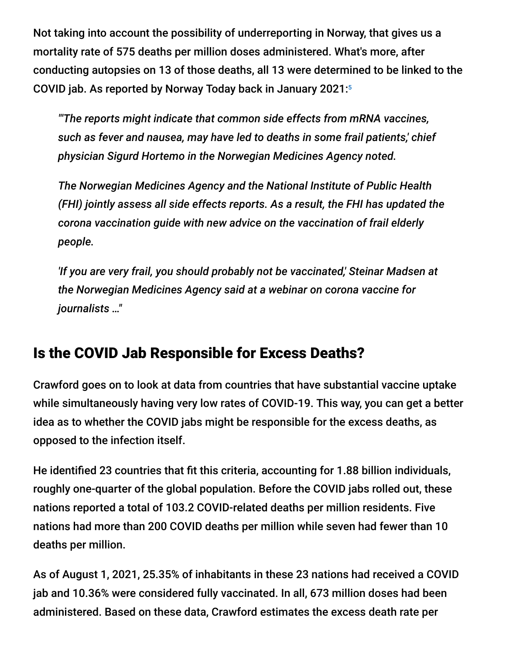Not taking into account the possibility of underreporting in Norway, that gives us a mortality rate of 575 deaths per million doses administered. What's more, after conducting autopsies on 13 of those deaths, all 13 were determined to be linked to the COVID jab. As reported by Norway Today back in January 2021: 5

*"'The reports might indicate that common side effects from mRNA vaccines, such as fever and nausea, may have led to deaths in some frail patients,' chief physician Sigurd Hortemo in the Norwegian Medicines Agency noted.*

*The Norwegian Medicines Agency and the National Institute of Public Health (FHI) jointly assess all side effects reports. As a result, the FHI has updated the corona vaccination guide with new advice on the vaccination of frail elderly people.*

*'If you are very frail, you should probably not be vaccinated,' Steinar Madsen at the Norwegian Medicines Agency said at a webinar on corona vaccine for journalists …"*

#### Is the COVID Jab Responsible for Excess Deaths?

Crawford goes on to look at data from countries that have substantial vaccine uptake while simultaneously having very low rates of COVID-19. This way, you can get a better idea as to whether the COVID jabs might be responsible for the excess deaths, as opposed to the infection itself.

He identified 23 countries that fit this criteria, accounting for 1.88 billion individuals, roughly one-quarter of the global population. Before the COVID jabs rolled out, these nations reported a total of 103.2 COVID-related deaths per million residents. Five nations had more than 200 COVID deaths per million while seven had fewer than 10 deaths per million.

As of August 1, 2021, 25.35% of inhabitants in these 23 nations had received a COVID jab and 10.36% were considered fully vaccinated. In all, 673 million doses had been administered. Based on these data, Crawford estimates the excess death rate per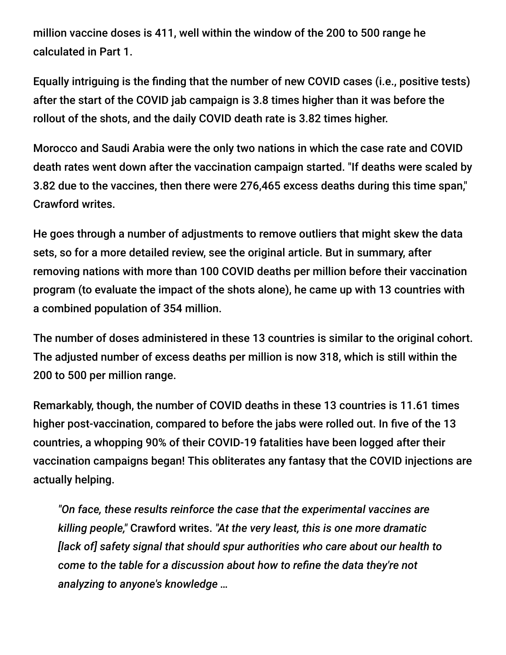million vaccine doses is 411, well within the window of the 200 to 500 range he calculated in Part 1.

Equally intriguing is the finding that the number of new COVID cases (i.e., positive tests) after the start of the COVID jab campaign is 3.8 times higher than it was before the rollout of the shots, and the daily COVID death rate is 3.82 times higher.

Morocco and Saudi Arabia were the only two nations in which the case rate and COVID death rates went down after the vaccination campaign started. "If deaths were scaled by 3.82 due to the vaccines, then there were 276,465 excess deaths during this time span," Crawford writes.

He goes through a number of adjustments to remove outliers that might skew the data sets, so for a more detailed review, see the original article. But in summary, after removing nations with more than 100 COVID deaths per million before their vaccination program (to evaluate the impact of the shots alone), he came up with 13 countries with a combined population of 354 million.

The number of doses administered in these 13 countries is similar to the original cohort. The adjusted number of excess deaths per million is now 318, which is still within the 200 to 500 per million range.

Remarkably, though, the number of COVID deaths in these 13 countries is 11.61 times higher post-vaccination, compared to before the jabs were rolled out. In five of the 13 countries, a whopping 90% of their COVID-19 fatalities have been logged after their vaccination campaigns began! This obliterates any fantasy that the COVID injections are actually helping.

*"On face, these results reinforce the case that the experimental vaccines are killing people,"* Crawford writes. *"At the very least, this is one more dramatic [lack of] safety signal that should spur authorities who care about our health to come to the table for a discussion about how to refine the data they're not analyzing to anyone's knowledge …*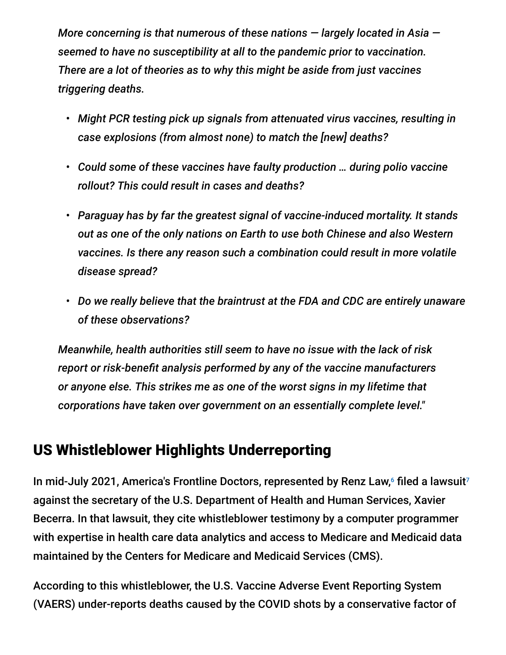*More concerning is that numerous of these nations — largely located in Asia seemed to have no susceptibility at all to the pandemic prior to vaccination. There are a lot of theories as to why this might be aside from just vaccines triggering deaths.*

- *Might PCR testing pick up signals from attenuated virus vaccines, resulting in case explosions (from almost none) to match the [new] deaths?*
- *Could some of these vaccines have faulty production … during polio vaccine rollout? This could result in cases and deaths?*
- *Paraguay has by far the greatest signal of vaccine-induced mortality. It stands out as one of the only nations on Earth to use both Chinese and also Western vaccines. Is there any reason such a combination could result in more volatile disease spread?*
- *Do we really believe that the braintrust at the FDA and CDC are entirely unaware of these observations?*

*Meanwhile, health authorities still seem to have no issue with the lack of risk report or risk-benefit analysis performed by any of the vaccine manufacturers or anyone else. This strikes me as one of the worst signs in my lifetime that corporations have taken over government on an essentially complete level."*

#### US Whistleblower Highlights Underreporting

In mid-July 2021, America's Frontline Doctors, represented by Renz Law, $^6$  filed a lawsuit<sup>7</sup> against the secretary of the U.S. Department of Health and Human Services, Xavier Becerra. In that lawsuit, they cite whistleblower testimony by a computer programmer with expertise in health care data analytics and access to Medicare and Medicaid data maintained by the Centers for Medicare and Medicaid Services (CMS).

According to this whistleblower, the U.S. Vaccine Adverse Event Reporting System (VAERS) under-reports deaths caused by the COVID shots by a conservative factor of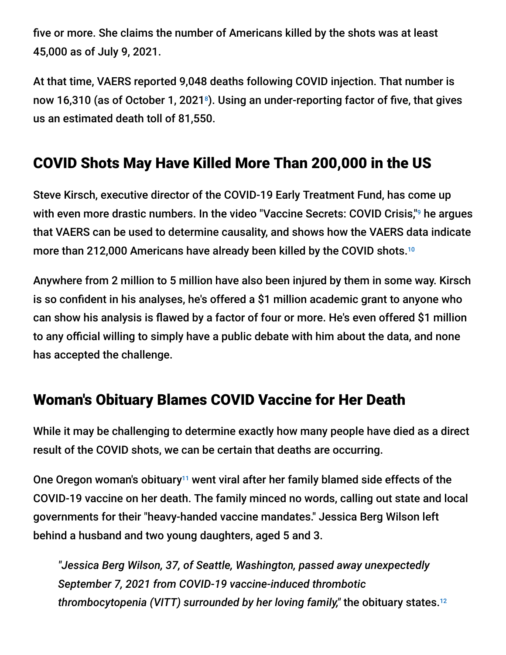five or more. She claims the number of Americans killed by the shots was at least 45,000 as of July 9, 2021.

At that time, VAERS reported 9,048 deaths following COVID injection. That number is now 16,310 (as of October 1, 2021 $^{\circ}$ ). Using an under-reporting factor of five, that gives us an estimated death toll of 81,550.

#### COVID Shots May Have Killed More Than 200,000 in the US

Steve Kirsch, executive director of the COVID-19 Early Treatment Fund, has come up with even more drastic numbers. In the video "Vaccine Secrets: COVID Crisis," he argues that VAERS can be used to determine causality, and shows how the VAERS data indicate more than 212,000 Americans have already been killed by the COVID shots. 10

Anywhere from 2 million to 5 million have also been injured by them in some way. Kirsch is so confident in his analyses, he's offered a \$1 million academic grant to anyone who can show his analysis is flawed by a factor of four or more. He's even offered \$1 million to any official willing to simply have a public debate with him about the data, and none has accepted the challenge.

## Woman's Obituary Blames COVID Vaccine for Her Death

While it may be challenging to determine exactly how many people have died as a direct result of the COVID shots, we can be certain that deaths are occurring.

One Oregon woman's obituary<sup>11</sup> went viral after her family blamed side effects of the COVID-19 vaccine on her death. The family minced no words, calling out state and local governments for their "heavy-handed vaccine mandates." Jessica Berg Wilson left behind a husband and two young daughters, aged 5 and 3.

*"Jessica Berg Wilson, 37, of Seattle, Washington, passed away unexpectedly September 7, 2021 from COVID-19 vaccine-induced thrombotic thrombocytopenia (VITT) surrounded by her loving family,"* the obituary states. 12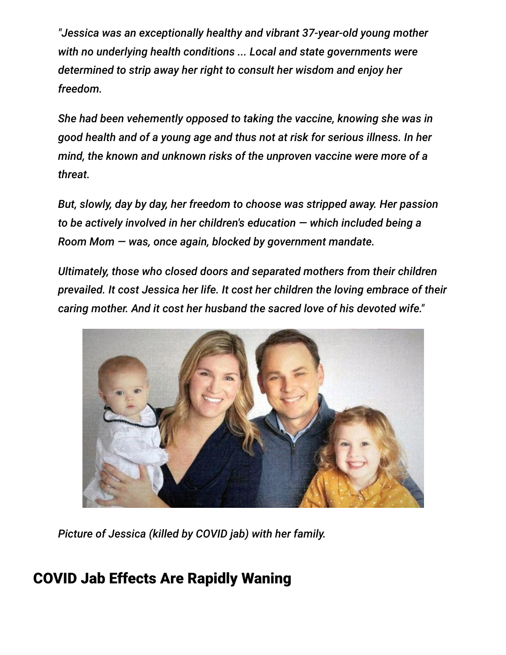*"Jessica was an exceptionally healthy and vibrant 37-year-old young mother with no underlying health conditions ... Local and state governments were determined to strip away her right to consult her wisdom and enjoy her freedom.*

*She had been vehemently opposed to taking the vaccine, knowing she was in good health and of a young age and thus not at risk for serious illness. In her mind, the known and unknown risks of the unproven vaccine were more of a threat.*

*But, slowly, day by day, her freedom to choose was stripped away. Her passion to be actively involved in her children's education — which included being a Room Mom — was, once again, blocked by government mandate.*

*Ultimately, those who closed doors and separated mothers from their children prevailed. It cost Jessica her life. It cost her children the loving embrace of their caring mother. And it cost her husband the sacred love of his devoted wife."*



*Picture of Jessica (killed by COVID jab) with her family.*

## COVID Jab Effects Are Rapidly Waning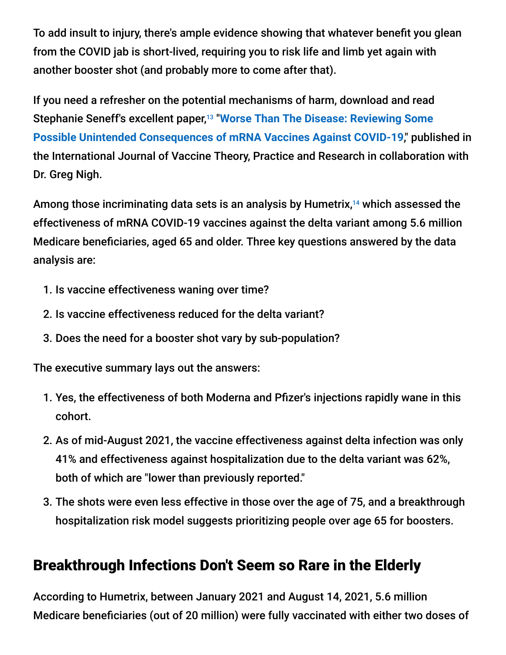To add insult to injury, there's ample evidence showing that whatever benefit you glean from the COVID jab is short-lived, requiring you to risk life and limb yet again with another booster shot (and probably more to come after that).

If you need a refresher on the potential mechanisms of harm, download and read Stephanie Seneff's excellent paper,<sup>13</sup> "Worse Than The Disease: Reviewing Some **[Possible Unintended Consequences of mRNA Vaccines Against COVID-19](https://ijvtpr.com/index.php/IJVTPR/article/view/23/34)**," published in the International Journal of Vaccine Theory, Practice and Research in collaboration with Dr. Greg Nigh.

Among those incriminating data sets is an analysis by Humetrix,<sup>14</sup> which assessed the effectiveness of mRNA COVID-19 vaccines against the delta variant among 5.6 million Medicare beneficiaries, aged 65 and older. Three key questions answered by the data analysis are:

- 1. Is vaccine effectiveness waning over time?
- 2. Is vaccine effectiveness reduced for the delta variant?
- 3. Does the need for a booster shot vary by sub-population?

The executive summary lays out the answers:

- 1. Yes, the effectiveness of both Moderna and Pfizer's injections rapidly wane in this cohort.
- 2. As of mid-August 2021, the vaccine effectiveness against delta infection was only 41% and effectiveness against hospitalization due to the delta variant was 62%, both of which are "lower than previously reported."
- 3. The shots were even less effective in those over the age of 75, and a breakthrough hospitalization risk model suggests prioritizing people over age 65 for boosters.

#### Breakthrough Infections Don't Seem so Rare in the Elderly

According to Humetrix, between January 2021 and August 14, 2021, 5.6 million Medicare beneficiaries (out of 20 million) were fully vaccinated with either two doses of